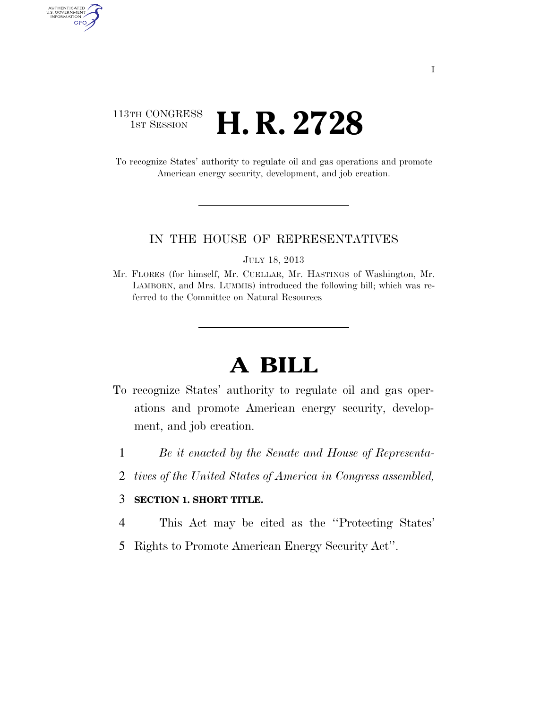### 113TH CONGRESS <sup>TH CONGRESS</sup> **H. R. 2728**

AUTHENTICATED<br>U.S. GOVERNMENT<br>INFORMATION GPO

> To recognize States' authority to regulate oil and gas operations and promote American energy security, development, and job creation.

#### IN THE HOUSE OF REPRESENTATIVES

JULY 18, 2013

Mr. FLORES (for himself, Mr. CUELLAR, Mr. HASTINGS of Washington, Mr. LAMBORN, and Mrs. LUMMIS) introduced the following bill; which was referred to the Committee on Natural Resources

# **A BILL**

- To recognize States' authority to regulate oil and gas operations and promote American energy security, development, and job creation.
	- 1 *Be it enacted by the Senate and House of Representa-*
	- 2 *tives of the United States of America in Congress assembled,*

#### 3 **SECTION 1. SHORT TITLE.**

- 4 This Act may be cited as the ''Protecting States'
- 5 Rights to Promote American Energy Security Act''.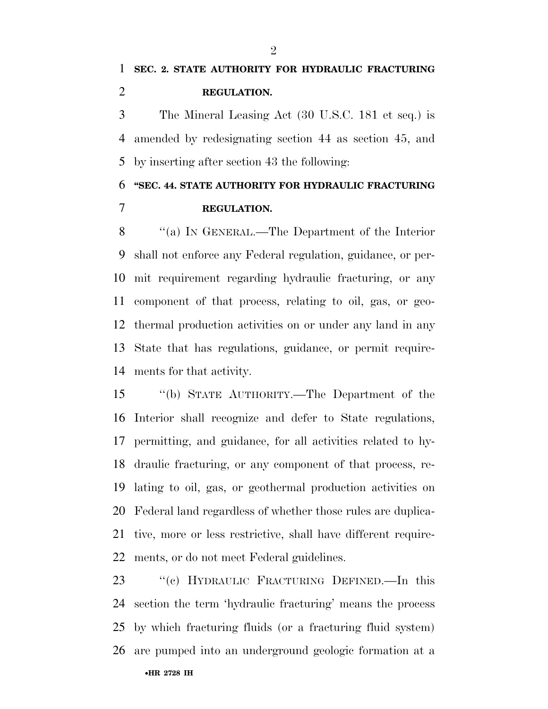# **SEC. 2. STATE AUTHORITY FOR HYDRAULIC FRACTURING REGULATION.**

 The Mineral Leasing Act (30 U.S.C. 181 et seq.) is amended by redesignating section 44 as section 45, and by inserting after section 43 the following:

## **''SEC. 44. STATE AUTHORITY FOR HYDRAULIC FRACTURING REGULATION.**

 ''(a) IN GENERAL.—The Department of the Interior shall not enforce any Federal regulation, guidance, or per- mit requirement regarding hydraulic fracturing, or any component of that process, relating to oil, gas, or geo- thermal production activities on or under any land in any State that has regulations, guidance, or permit require-ments for that activity.

 ''(b) STATE AUTHORITY.—The Department of the Interior shall recognize and defer to State regulations, permitting, and guidance, for all activities related to hy- draulic fracturing, or any component of that process, re- lating to oil, gas, or geothermal production activities on Federal land regardless of whether those rules are duplica- tive, more or less restrictive, shall have different require-ments, or do not meet Federal guidelines.

•**HR 2728 IH** ''(c) HYDRAULIC FRACTURING DEFINED.—In this section the term 'hydraulic fracturing' means the process by which fracturing fluids (or a fracturing fluid system) are pumped into an underground geologic formation at a